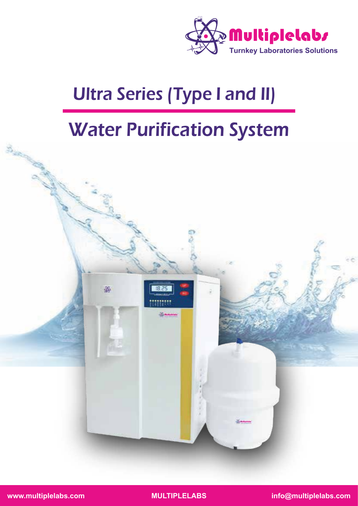

# Ultra Series (Type I and II)

## Water Purification System



**www.multiplelabs.com MULTIPLELABS info@multiplelabs.com**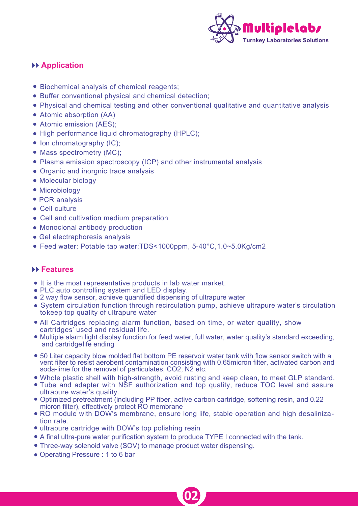

#### **Application**

- Biochemical analysis of chemical reagents;
- Buffer conventional physical and chemical detection;
- Physical and chemical testing and other conventional qualitative and quantitative analysis
- Atomic absorption (AA)
- Atomic emission (AES);
- High performance liquid chromatography (HPLC);
- Ion chromatography (IC);
- Mass spectrometry (MC);
- Plasma emission spectroscopy (ICP) and other instrumental analysis
- Organic and inorgnic trace analysis
- Molecular biology
- Microbiology
- PCR analysis
- Cell culture
- Cell and cultivation medium preparation
- Monoclonal antibody production
- Gel electraphoresis analysis
- Feed water: Potable tap water:TDS<1000ppm, 5-40°C,1.0~5.0Kg/cm2

#### **Features**

- It is the most representative products in lab water market.
- PLC auto controlling system and LED display.
- 2 way flow sensor, achieve quantified dispensing of ultrapure water
- System circulation function through recirculation pump, achieve ultrapure water's circulation tokeep top quality of ultrapure water
- All Cartridges replacing alarm function, based on time, or water quality, show cartridges' used and residual life.
- Multiple alarm light display function for feed water, full water, water quality's standard exceeding, and cartridgelife ending
- 50 Liter capacity blow molded flat bottom PE reservoir water tank with flow sensor switch with a vent filter to resist aerobent contamination consisting with 0.65micron filter, activated carbon and soda-lime for the removal of particulates, CO2, N2 etc.
- Whole plastic shell with high-strength, avoid rusting and keep clean, to meet GLP standard.
- Tube and adapter with NSF authorization and top quality, reduce TOC level and assure ultrapure water's quality.
- Optimized pretreatment (including PP fiber, active carbon cartridge, softening resin, and 0.22 micron filter), effectively protect RO membrane
- RO module with DOW's membrane, ensure long life, stable operation and high desalinization rate.

**02**

- ultrapure cartridge with DOW's top polishing resin
- A final ultra-pure water purification system to produce TYPE I connected with the tank.
- Three-way solenoid valve (SOV) to manage product water dispensing.
- Operating Pressure : 1 to 6 bar